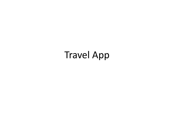# Travel App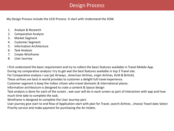## Design Process

My Design Process include the UCD Process. It start with Understand the SOW.

- 1. Analyze & Research
- 2. Comparative Analysis
- 3. Market Segment
- 4. Customer Segment
- 5. Information Architecture
- 6. Task Analysis
- 7. Create Wireframe
- 8. User Journey

I first understand the basic requirement and try to collect the basic features available in Travel Mobile App.

During my comparative analysis I try to get wat the best features available in top 3 Travel site.

For Comparative analysis I use (jet Airways , American Airlines, virgin Airlines, KLM & British).

These airlines are best in world provides to customer a delight full travel experience.

Customer segment is keep the Indian citizen who travel domestic & international places.

Information architecture is designed to crate a content & layout design

Task analysis is done for each of the screen , wat user will do in each screen as part of interaction with app and how much time take to complete the task.

Wireframe is designed to complete the User Journey part.

User journey give start to end flow of Application start with plan for Travel, search Airlines , choose Travel date Select Priority service and make payment for purchasing the Air tickets.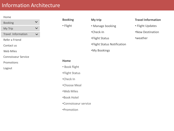## Information Architecture

| Home                       |  |
|----------------------------|--|
| <b>Booking</b>             |  |
| My Trip                    |  |
| <b>Travel Information</b>  |  |
| Refer a Friend             |  |
| Contact us                 |  |
| <b>Web Miles</b>           |  |
| <b>Connoisseur Service</b> |  |
| Promotions                 |  |
| Logout                     |  |
|                            |  |
|                            |  |

### **Booking**

• Flight

- **My trip** • Manage booking
- •Check-In
- •Flight Status
- •Flight Status Notification
- •My Bookings

#### **Travel Information**

- Flight Updates
- •New Destination
- •weather

#### **Home**

- Book flight
- •Flight Status
- •Check In
- •Choose Meal
- •Web Miles
- •Book Hotel
- •Connoisseur service
- •Promotion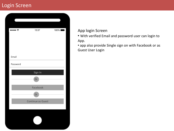## Login Screen

| $\cdots$ | 13:37                    | 100% |
|----------|--------------------------|------|
|          |                          |      |
|          |                          |      |
|          |                          |      |
|          |                          |      |
| Email    |                          |      |
| Password |                          |      |
|          |                          |      |
|          | Sign In                  |      |
|          | Or                       |      |
|          | Facebook                 |      |
|          | Or                       |      |
|          | <b>Continue as Guest</b> |      |
|          |                          |      |
|          |                          |      |
|          |                          |      |
|          |                          |      |
|          |                          |      |

#### App login Screen

• With verified Email and password user can login to App.

• app also provide Single sign on with Facebook or as Guest User Login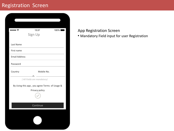## Registration Screen

| , ຈ                  | 13:37<br>Sign Up                              | 100% |
|----------------------|-----------------------------------------------|------|
| Last Name            |                                               |      |
| First name           |                                               |      |
| <b>Email Address</b> |                                               |      |
| Password             |                                               |      |
| Country              | Mobile No.                                    |      |
|                      | (All Fields are mandatory)                    |      |
|                      | By Using this app, you agree Terms of Usage & |      |
|                      | Privacy policy                                |      |
|                      |                                               |      |
|                      | Continue                                      |      |
|                      |                                               |      |
|                      |                                               |      |

#### App Registration Screen

• Mandatory Field input for user Registration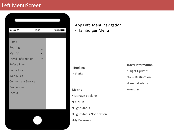## Left MenuScreen



#### App Left Menu navigation • Hamburger Menu

#### **Booking**

• Flight

#### **Travel Information**

- Flight Updates
- •New Destination
- •Fare Calculator

#### •weather

#### **My trip**

- Manage booking
- •Chick-In
- •Flight Status
- •Flight Status Notification
- •My Bookings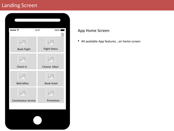## Landing Screen

| ……÷                 | 13:37 | 100%                 |
|---------------------|-------|----------------------|
| <b>Book Flight</b>  |       | <b>Flight Status</b> |
| Check-In            |       | Choose Meal          |
| <b>Web Miles</b>    |       | <b>Book Hotel</b>    |
| Connoisseur service |       | Promotion            |
|                     |       |                      |

#### App Home Screen

• All available App features , on home screen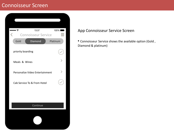## Connoisseur Screen

| n ÷<br>₹          | 13:37<br><b>Connoisseur Service</b> | 100%     |
|-------------------|-------------------------------------|----------|
| Gold              | <b>Diamond</b>                      | Platinum |
| priority boarding |                                     |          |
| Meals & Wines     |                                     |          |
|                   | Personalize Video Entertainment     |          |
|                   | Cab Service To & From Hotel         |          |
|                   |                                     |          |
|                   |                                     |          |
|                   | Continue                            |          |
|                   |                                     |          |

#### App Connoisseur Service Screen

• Connoisseur Service shows the available option (Gold , Diamond & platinum)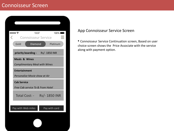## Connoisseur Screen

| , ຈ                  | 13:37<br><b>Connoisseur Service</b>  | 100%          |
|----------------------|--------------------------------------|---------------|
| Gold                 | Diamond                              | Platinum      |
|                      |                                      |               |
|                      | priority boarding - Rs/- 1850 INR    |               |
|                      | <b>Meals &amp; Wines</b>             |               |
|                      | <b>Complimentary Meal with Wines</b> |               |
| <b>Entertainment</b> |                                      |               |
|                      | Personalize Movie show at Air        |               |
| <b>Cab Service</b>   |                                      |               |
|                      | Free Cab service To & From Hotel     |               |
|                      | Total Cost: - Rs/- 1850 INR          |               |
|                      |                                      |               |
|                      | Pay with Web miles                   | Pay with card |
|                      |                                      |               |
|                      |                                      |               |
|                      |                                      |               |

#### App Connoisseur Service Screen

• Connoisseur Service Continuation screen, Based on user choice screen shows the Price Associate with the service along with payment option.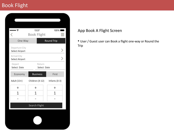## Book Flight

| no s                                  | 13:37                 | 100%              |
|---------------------------------------|-----------------------|-------------------|
| ८                                     | <b>Book Flight</b>    |                   |
| One Way                               |                       | <b>Round Trip</b> |
| Departure City<br>Select Airport      |                       |                   |
| Arrival City<br><b>Select Airport</b> |                       |                   |
| Depart<br>Select Date                 | Return<br>Select Date |                   |
| Economy                               | <b>Business</b>       | First             |
| Adult (13+)                           | Children (4-12)       | Infants (0-3)     |
|                                       |                       |                   |
| $\ddag$                               | $\ddag$               | $\ddag$           |
| 1                                     | 1                     | 1                 |
|                                       |                       |                   |
|                                       | Search Flight         |                   |

#### App Book A Flight Screen

• User / Guest user can Book a flight one-way or Round the Trip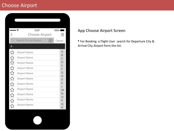## Choose Airport

|                                          | 13:37<br>n ÷          | $100\%$       |
|------------------------------------------|-----------------------|---------------|
| $\overline{\left\langle \right\rangle }$ | <b>Choose Airport</b> |               |
| Q                                        | Search For an Airport | Cancel        |
| A                                        |                       |               |
| ☆                                        | <b>Airport Name</b>   | A             |
| ☆                                        | <b>Airport Name</b>   | B<br>C        |
| $\overline{\mathbb{W}}$                  | <b>Airport Name</b>   | D<br>E        |
| $\overleftrightarrow{\mathcal{L}}$       | <b>Airport Name</b>   | F             |
| $\overline{\mathbb{Z}}$                  | <b>Airport Name</b>   | G<br>Н        |
| ☆                                        | <b>Airport Name</b>   | IJ            |
| ☆                                        | <b>Airport Name</b>   | K<br>L        |
| ☆                                        | <b>Airport Name</b>   | M             |
| ☆                                        | <b>Airport Name</b>   | N<br>O        |
| ☆                                        | <b>Airport Name</b>   | P             |
| ᢢ                                        | <b>Airport Name</b>   | $\Omega$<br>R |

#### App Choose Airport Screen

• For Booking a Flight User search for Departure City & Arrival City Airport form the list.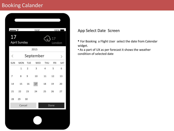## Booking Calander

| $\cdots$<br>13:37<br>100%<br>17<br>17<br><b>April Sunday</b><br>London<br>2015<br>September<br>く<br><b>SUN</b><br><b>TUE</b><br><b>MON</b><br><b>WED</b><br><b>THU</b><br>SAT<br>FRI<br>$\overline{1}$<br>$\overline{2}$<br>3<br>$\overline{4}$<br>5<br>6<br>$\overline{7}$<br>8<br>9<br>10<br>11<br>12<br>13<br>14<br>15<br>17<br>16<br>18<br>19<br>20<br>21<br>22<br>23<br>24<br>25<br>26<br>27<br>28<br>29<br>30<br>Cancel<br>Done |  |  |  |  |
|---------------------------------------------------------------------------------------------------------------------------------------------------------------------------------------------------------------------------------------------------------------------------------------------------------------------------------------------------------------------------------------------------------------------------------------|--|--|--|--|
|                                                                                                                                                                                                                                                                                                                                                                                                                                       |  |  |  |  |
|                                                                                                                                                                                                                                                                                                                                                                                                                                       |  |  |  |  |
|                                                                                                                                                                                                                                                                                                                                                                                                                                       |  |  |  |  |
|                                                                                                                                                                                                                                                                                                                                                                                                                                       |  |  |  |  |
|                                                                                                                                                                                                                                                                                                                                                                                                                                       |  |  |  |  |
|                                                                                                                                                                                                                                                                                                                                                                                                                                       |  |  |  |  |
|                                                                                                                                                                                                                                                                                                                                                                                                                                       |  |  |  |  |
|                                                                                                                                                                                                                                                                                                                                                                                                                                       |  |  |  |  |
|                                                                                                                                                                                                                                                                                                                                                                                                                                       |  |  |  |  |
|                                                                                                                                                                                                                                                                                                                                                                                                                                       |  |  |  |  |
|                                                                                                                                                                                                                                                                                                                                                                                                                                       |  |  |  |  |
|                                                                                                                                                                                                                                                                                                                                                                                                                                       |  |  |  |  |
|                                                                                                                                                                                                                                                                                                                                                                                                                                       |  |  |  |  |

#### App Select Date Screen

• For Booking a Flight User select the date from Calendar widget.

• As a part of UX as per forecast it shows the weather condition of selected date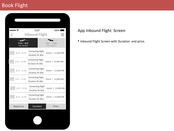## Book Flight

| $\cdots$                   | 13:37<br><b>Inbound Flight</b>              | 100%                       |
|----------------------------|---------------------------------------------|----------------------------|
| $PUN - BLR$<br>SUN 06/2015 | .                                           | $BLR - PUN$<br>SUN 06/2015 |
| $8:15 - 11:45$             | <b>Connecting Flight</b><br>Duration 3h 30m | 12,000 INR<br>Detail       |
| $8:15 - 11:45$             | <b>Connecting Flight</b><br>Duration 3h 30m | 12,000 INR<br>Detail       |
| $8:15 - 11:45$             | <b>Connecting Flight</b><br>Duration 3h 30m | Detail   12,000 INR        |
| $8:15 - 11:45$             | <b>Connecting Flight</b><br>Duration 3h 30m | Detail   12,000 INR        |
| $8:15 - 11:45$             | <b>Connecting Flight</b><br>Duration 3h 30m | Detail   12,000 INR        |
| $8:15 - 11:45$             | <b>Connecting Flight</b><br>Duration 3h 30m | Detail   12,000 INR        |
| Departure                  | Duration                                    | Price                      |
|                            |                                             |                            |

#### App Inbound Flight Screen

• Inbound Flight Screen with Duration and price.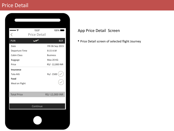| $\bullet \widehat{\tau}$                 | 13:37               | 100%            |
|------------------------------------------|---------------------|-----------------|
| $\overline{\left\langle \right\rangle }$ | <b>Price Detail</b> |                 |
| <b>PUN</b>                               |                     | <b>BLR</b>      |
| Date                                     |                     | FRI 06 Sep 2015 |
| Departure Time                           |                     | 8:15 A.M        |
| <b>Cabin Class</b>                       |                     | <b>Business</b> |
| <b>Baggage</b>                           |                     | Max 20 KG       |
| Price                                    |                     | RS/-12,000 INR  |
| <b>Insurance</b>                         |                     |                 |
| Tata AIG                                 |                     | Rs/-1500        |
| Food                                     |                     |                 |
| Meal on Flight                           |                     |                 |
|                                          |                     |                 |
| <b>Total Price</b>                       |                     | RS/-12,000 INR  |
|                                          |                     |                 |
|                                          | Continue            |                 |
|                                          |                     |                 |

#### App Price Detail Screen

• Price Detail screen of selected flight Journey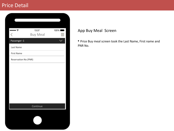| $\cdots$             | 13:37           | 100% l |
|----------------------|-----------------|--------|
| ८                    | <b>Buy Meal</b> |        |
| Passenger-1          |                 |        |
| Last Name            |                 |        |
| <b>First Name</b>    |                 |        |
| Reservation No (PNR) |                 |        |
|                      |                 |        |
|                      |                 |        |
|                      |                 |        |
|                      |                 |        |
|                      |                 |        |
|                      |                 |        |
|                      |                 |        |
|                      | Continue        |        |
|                      |                 |        |
|                      |                 |        |
|                      |                 |        |

#### App Buy Meal Screen

• Price Buy meal screen took the Last Name, First name and PNR No.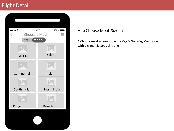## Flight Detail

| $\bullet \widehat{\tau}$<br>₹<br>Choose a Meal | 13:37<br>100%  |
|------------------------------------------------|----------------|
| Veg                                            | Non Veg        |
|                                                |                |
| <b>Kids Menu</b>                               | Salad          |
|                                                |                |
| Continental                                    | Indian         |
|                                                |                |
| South Indian                                   | North Indian   |
|                                                |                |
| Punjabi                                        | <b>Deserts</b> |
|                                                |                |
|                                                |                |

#### App Choose Meal Screen

• Choose meal screen show the Veg & Non-Veg Meal along with pic and Kid Special Menu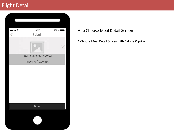## Flight Detail

| • হ<br>$\overline{\left\langle \right\rangle }$ | 13:37<br>Salad             | 100% |
|-------------------------------------------------|----------------------------|------|
|                                                 |                            |      |
|                                                 | Total net Energy : 620 Cal |      |
|                                                 | Price: RS/- 200 INR        |      |
|                                                 | Done                       |      |
|                                                 |                            |      |
|                                                 |                            |      |

#### App Choose Meal Detail Screen

• Choose Meal Detail Screen with Calorie & price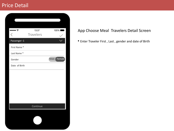| $\bullet \bullet \widehat{\tau}$ | 13:37            | 100% l      |
|----------------------------------|------------------|-------------|
| L                                | <b>Travelers</b> |             |
| Passenger-1                      |                  |             |
| First Name*                      |                  |             |
| Last Name *                      |                  |             |
| Gender                           |                  | Male Female |
| Date of Birth                    |                  |             |
|                                  |                  |             |
|                                  |                  |             |
|                                  |                  |             |
|                                  |                  |             |
|                                  |                  |             |
|                                  |                  |             |
|                                  | Continue         |             |
|                                  |                  |             |
|                                  |                  |             |
|                                  |                  |             |

#### App Choose Meal Travelers Detail Screen

• Enter Traveler First , Last , gender and date of Birth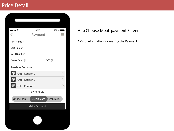| $\bullet$ $\widehat{\mathbb{F}}$<br>C | 13:37<br>Payment | 100%          |
|---------------------------------------|------------------|---------------|
| First Name*                           |                  |               |
| Last Name *                           |                  |               |
| <b>Card Number</b>                    |                  |               |
| Expiry Date 2                         | CVV(2)           |               |
| <b>Freebies Coupons</b>               |                  |               |
| €<br>Offer Coupon 1                   |                  |               |
| G<br>Offer Coupon 2                   |                  | $\frac{1}{2}$ |
| G<br>Offer Coupon 3                   |                  |               |
|                                       | Payment Via      |               |
| <b>Online Bank</b>                    | Credit card      | web miles     |
|                                       | Make Payment     |               |
|                                       |                  |               |
|                                       |                  |               |

### App Choose Meal payment Screen

• Card information for making the Payment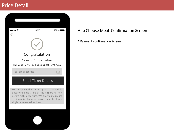

#### App Choose Meal Confirmation Screen

• Payment confirmation Screen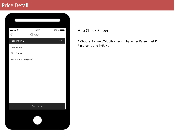| $\bullet \widehat{\tau}$                 | 13:37    | 100% |
|------------------------------------------|----------|------|
| $\overline{\left\langle \right\rangle }$ | Check In |      |
| Passenger-1                              |          |      |
| Last Name                                |          |      |
| <b>First Name</b>                        |          |      |
| Reservation No (PNR)                     |          |      |
|                                          |          |      |
|                                          |          |      |
|                                          |          |      |
|                                          |          |      |
|                                          |          |      |
|                                          |          |      |
|                                          |          |      |
|                                          | Continue |      |
|                                          |          |      |
|                                          |          |      |
|                                          |          |      |
|                                          |          |      |

#### App Check Screen

• Choose for web/Mobile check in by enter Passer Last & First name and PNR No.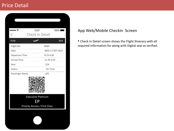| $\bullet \bullet \widehat{\tau}$ | 13:37                                                            | 100%            |  |  |
|----------------------------------|------------------------------------------------------------------|-----------------|--|--|
|                                  | <b>Check In Detail</b>                                           |                 |  |  |
| <b>PUN</b>                       |                                                                  | <b>BLR</b>      |  |  |
| Flight No                        |                                                                  | B683            |  |  |
| Date                             |                                                                  | WED 17 SEP 2015 |  |  |
| Departure Time                   |                                                                  | 8:15 A.M        |  |  |
| <b>Arrival Time</b>              |                                                                  | 11:45 A.M       |  |  |
| Seat                             |                                                                  | 12A             |  |  |
| <b>Status</b>                    |                                                                  | On Time         |  |  |
| Passenger Name                   |                                                                  | JOE             |  |  |
|                                  |                                                                  |                 |  |  |
|                                  | <b>Executive Platinum</b><br>EΡ<br>Priority Access / First Class |                 |  |  |
|                                  |                                                                  |                 |  |  |

#### App Web/Mobile Checkin Screen

• Check In Detail screen shows the Flight Itinerary with all required information for along with Digital seal as verified.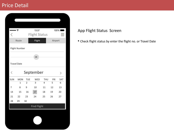| $\overline{\langle}$ | $\bullet$ $\widehat{\mathbb{F}}$ |                | 13:37<br><b>Flight Status</b> |                |                | 100%           |
|----------------------|----------------------------------|----------------|-------------------------------|----------------|----------------|----------------|
|                      | Route                            |                | Flight                        |                | Airport        |                |
|                      | Flight Number                    |                |                               |                |                |                |
|                      |                                  |                | <b>OR</b>                     |                |                |                |
|                      | <b>Travel Date</b>               |                |                               |                |                |                |
| C                    | September                        |                |                               |                |                |                |
| <b>SUN</b>           | <b>MON</b>                       | <b>TUE</b>     | <b>WED</b>                    | <b>THU</b>     | FRI            | SAT            |
|                      | $\overline{1}$                   | $\overline{2}$ | $\overline{3}$                | $\overline{4}$ | $\overline{5}$ | $\overline{6}$ |
| 7                    | 8                                | 9              | 10                            | 11             | 12             | 13             |
| 14                   | 15                               | 16             | 17                            | 18             | 19             | 20             |
| 21                   | 22                               | 23             | 24                            | 25             | 26             | 27             |
| 28                   | 29                               | 30             |                               |                |                |                |
| <b>Find Flight</b>   |                                  |                |                               |                |                |                |
|                      |                                  |                |                               |                |                |                |

#### App Flight Status Screen

• Check flight status by enter the flight no. or Travel Date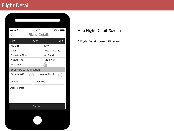## Flight Detail

| $\bullet \widehat{\tau}$         | 13:37  |                       | 100%                   |
|----------------------------------|--------|-----------------------|------------------------|
|                                  |        | <b>Flight Details</b> |                        |
| <b>PUN</b>                       |        |                       | <b>BLR</b>             |
| Flight No                        |        | B683                  |                        |
| Date                             |        |                       | <b>WED 17 SEP 2015</b> |
| Departure Time                   |        | 8:15 A.M              |                        |
| <b>Arrival Time</b>              |        | 11:45 A.M             |                        |
| Seat MAP                         |        |                       |                        |
| <b>Subscribe to Notification</b> |        |                       |                        |
| <b>Receive SMS</b>               |        | <b>Receive Email</b>  |                        |
| Country                          |        | Mobile No.            |                        |
| <b>Email Address</b>             |        |                       |                        |
|                                  |        |                       |                        |
|                                  |        |                       |                        |
|                                  |        |                       |                        |
|                                  | Submit |                       |                        |

#### App Flight Detail Screen

• Flight Detail screen, itinerary.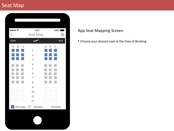## Seat Map

| $\cdots$              | 13:37           |        |         | 100%        |
|-----------------------|-----------------|--------|---------|-------------|
| Ĉ                     | Seat Map        |        |         | $\sim$<br>- |
| <b>PUN</b>            |                 |        |         | <b>BLR</b>  |
| A<br>B<br>$\mathsf C$ |                 | E<br>D | F       |             |
|                       | $\mathbf{1}$    |        |         |             |
|                       | $\overline{2}$  |        |         |             |
|                       | 3               |        |         |             |
|                       | $\overline{4}$  |        |         |             |
|                       | 5               |        |         |             |
|                       | 6               |        |         |             |
|                       | $\overline{7}$  |        |         |             |
|                       | 8               |        |         |             |
|                       | 9               |        |         |             |
|                       | 10              |        |         |             |
|                       | 11              |        |         |             |
|                       | 12              |        |         |             |
| <b>First Class</b>    | <b>Business</b> |        | Economy |             |

#### App Seat Mapping Screen

• Choose your desired seat at the time of Booking.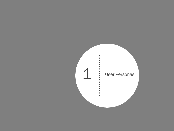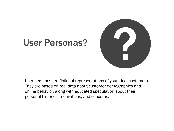

## User Personas?

User personas are fictional representations of your ideal customers. They are based on real data about customer demographics and online behavior, along with educated speculation about their personal histories, motivations, and concerns.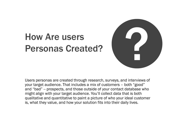

## How Are users Personas Created?

Users personas are created through research, surveys, and interviews of your target audience. That includes a mix of customers – both "good" and "bad" -- prospects, and those outside of your contact database who might align with your target audience. You'll collect data that is both qualitative and quantitative to paint a picture of who your ideal customer is, what they value, and how your solution fits into their daily lives.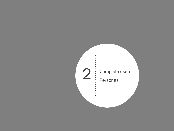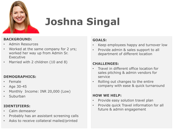

# **Joshna Singal**

#### **BACKGROUND:**

- Admin Resources
- Worked at the same company for 2 yrs; worked her way up from Admin Sr. Executive
- Married with 2 children (10 and 8)

#### **DEMOGRAPHICS:**

- Female
- Age 30-45
- Monthly Income: INR 20,000 (Low)
- Suburban

#### **IDENTIFIERS:**

- Calm demeanor
- Probably has an assistant screening calls
- Asks to receive collateral mailed/printed

#### **GOALS:**

- Keep employees happy and turnover low
- Provide admin & sales support to all department of different location

#### **CHALLENGES:**

- Travel in different office location for sales pitching & admin vendors for service
- Rolling out changes to the entire company with ease & quick turnaround

#### **HOW WE HELP:**

- Provide easy solution travel plan
- Provide quick Travel information for all future & admin engagement